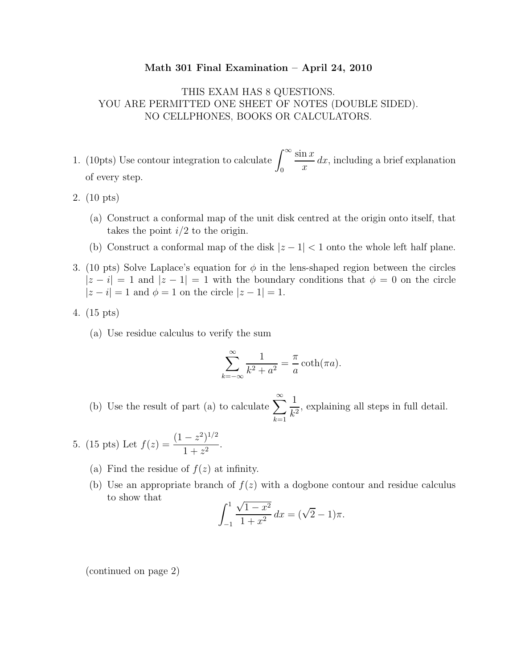## Math 301 Final Examination – April 24, 2010

## THIS EXAM HAS 8 QUESTIONS. YOU ARE PERMITTED ONE SHEET OF NOTES (DOUBLE SIDED). NO CELLPHONES, BOOKS OR CALCULATORS.

- 1. (10pts) Use contour integration to calculate  $\int_{0}^{\infty}$  $\overline{0}$  $\sin x$  $\overline{x}$  $dx$ , including a brief explanation of every step.
- 2. (10 pts)
	- (a) Construct a conformal map of the unit disk centred at the origin onto itself, that takes the point  $i/2$  to the origin.
	- (b) Construct a conformal map of the disk  $|z 1| < 1$  onto the whole left half plane.
- 3. (10 pts) Solve Laplace's equation for  $\phi$  in the lens-shaped region between the circles  $|z - i| = 1$  and  $|z - 1| = 1$  with the boundary conditions that  $\phi = 0$  on the circle  $|z - i| = 1$  and  $\phi = 1$  on the circle  $|z - 1| = 1$ .
- 4. (15 pts)
	- (a) Use residue calculus to verify the sum

$$
\sum_{k=-\infty}^{\infty} \frac{1}{k^2 + a^2} = \frac{\pi}{a} \coth(\pi a).
$$

(b) Use the result of part (a) to calculate  $\sum_{n=0}^{\infty}$  $k=1$ 1  $\frac{1}{k^2}$ , explaining all steps in full detail.

5. (15 pts) Let 
$$
f(z) = \frac{(1-z^2)^{1/2}}{1+z^2}
$$
.

- (a) Find the residue of  $f(z)$  at infinity.
- (b) Use an appropriate branch of  $f(z)$  with a dogbone contour and residue calculus to show that

$$
\int_{-1}^{1} \frac{\sqrt{1 - x^2}}{1 + x^2} dx = (\sqrt{2} - 1)\pi.
$$

(continued on page 2)